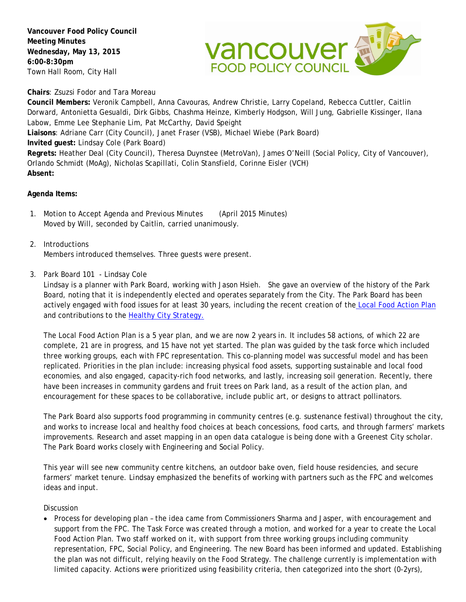**Vancouver Food Policy Council Meeting Minutes Wednesday, May 13, 2015 6:00-8:30pm** Town Hall Room, City Hall



**Chairs**: Zsuzsi Fodor and Tara Moreau

**Council Members:** Veronik Campbell, Anna Cavouras, Andrew Christie, Larry Copeland, Rebecca Cuttler, Caitlin Dorward, Antonietta Gesualdi, Dirk Gibbs, Chashma Heinze, Kimberly Hodgson, Will Jung, Gabrielle Kissinger, Ilana Labow, Emme Lee Stephanie Lim, Pat McCarthy, David Speight **Liaisons**: Adriane Carr (City Council), Janet Fraser (VSB), Michael Wiebe (Park Board) **Invited guest:** Lindsay Cole (Park Board) **Regrets:** Heather Deal (City Council), Theresa Duynstee (MetroVan), James O'Neill (Social Policy, City of Vancouver), Orlando Schmidt (MoAg), Nicholas Scapillati, Colin Stansfield, Corinne Eisler (VCH) **Absent:**

### **Agenda Items:**

- 1. Motion to Accept Agenda and Previous Minutes (April 2015 Minutes) Moved by Will, seconded by Caitlin, carried unanimously.
- 2. Introductions Members introduced themselves. Three guests were present.
- 3. Park Board 101 Lindsay Cole

Lindsay is a planner with Park Board, working with Jason Hsieh. She gave an overview of the history of the Park Board, noting that it is independently elected and operates separately from the City. The Park Board has been actively engaged with food issues for at least 30 years, including the recent creation of the [Local Food Action Plan](http://vancouver.ca/news-calendar/park-board-local-food-action-plan-integrates-local-food-into-vancouver-s-parks-and-recreation-system.aspx) and contributions to the Healthy City [Strategy.](http://vancouver.ca/people-programs/healthy-city-strategy.aspx)

The Local Food Action Plan is a 5 year plan, and we are now 2 years in. It includes 58 actions, of which 22 are complete, 21 are in progress, and 15 have not yet started. The plan was guided by the task force which included three working groups, each with FPC representation. This co-planning model was successful model and has been replicated. Priorities in the plan include: increasing physical food assets, supporting sustainable and local food economies, and also engaged, capacity-rich food networks, and lastly, increasing soil generation. Recently, there have been increases in community gardens and fruit trees on Park land, as a result of the action plan, and encouragement for these spaces to be collaborative, include public art, or designs to attract pollinators.

The Park Board also supports food programming in community centres (e.g. sustenance festival) throughout the city, and works to increase local and healthy food choices at beach concessions, food carts, and through farmers' markets improvements. Research and asset mapping in an open data catalogue is being done with a Greenest City scholar. The Park Board works closely with Engineering and Social Policy.

This year will see new community centre kitchens, an outdoor bake oven, field house residencies, and secure farmers' market tenure. Lindsay emphasized the benefits of working with partners such as the FPC and welcomes ideas and input.

Discussion

• Process for developing plan – the idea came from Commissioners Sharma and Jasper, with encouragement and support from the FPC. The Task Force was created through a motion, and worked for a year to create the Local Food Action Plan. Two staff worked on it, with support from three working groups including community representation, FPC, Social Policy, and Engineering. The new Board has been informed and updated. Establishing the plan was not difficult, relying heavily on the Food Strategy. The challenge currently is implementation with limited capacity. Actions were prioritized using feasibility criteria, then categorized into the short (0-2yrs),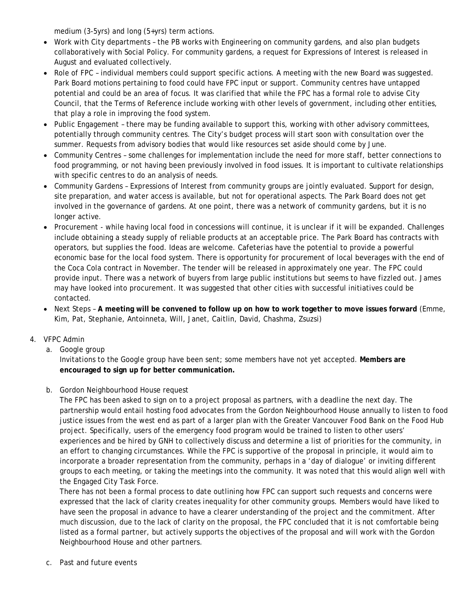medium (3-5yrs) and long (5+yrs) term actions.

- Work with City departments the PB works with Engineering on community gardens, and also plan budgets collaboratively with Social Policy. For community gardens, a request for Expressions of Interest is released in August and evaluated collectively.
- Role of FPC individual members could support specific actions. A meeting with the new Board was suggested. Park Board motions pertaining to food could have FPC input or support. Community centres have untapped potential and could be an area of focus. It was clarified that while the FPC has a formal role to advise City Council, that the Terms of Reference include working with other levels of government, including other entities, that play a role in improving the food system.
- Public Engagement there may be funding available to support this, working with other advisory committees, potentially through community centres. The City's budget process will start soon with consultation over the summer. Requests from advisory bodies that would like resources set aside should come by June.
- Community Centres some challenges for implementation include the need for more staff, better connections to food programming, or not having been previously involved in food issues. It is important to cultivate relationships with specific centres to do an analysis of needs.
- Community Gardens Expressions of Interest from community groups are jointly evaluated. Support for design, site preparation, and water access is available, but not for operational aspects. The Park Board does not get involved in the governance of gardens. At one point, there was a network of community gardens, but it is no longer active.
- Procurement while having local food in concessions will continue, it is unclear if it will be expanded. Challenges include obtaining a steady supply of reliable products at an acceptable price. The Park Board has contracts with operators, but supplies the food. Ideas are welcome. Cafeterias have the potential to provide a powerful economic base for the local food system. There is opportunity for procurement of local beverages with the end of the Coca Cola contract in November. The tender will be released in approximately one year. The FPC could provide input. There was a network of buyers from large public institutions but seems to have fizzled out. James may have looked into procurement. It was suggested that other cities with successful initiatives could be contacted.
- Next Steps **A meeting will be convened to follow up on how to work together to move issues forward** (Emme, Kim, Pat, Stephanie, Antoinneta, Will, Janet, Caitlin, David, Chashma, Zsuzsi)

## 4. VFPC Admin

a. Google group

Invitations to the Google group have been sent; some members have not yet accepted. **Members are encouraged to sign up for better communication.** 

## b. Gordon Neighbourhood House request

The FPC has been asked to sign on to a project proposal as partners, with a deadline the next day. The partnership would entail hosting food advocates from the Gordon Neighbourhood House annually to listen to food justice issues from the west end as part of a larger plan with the Greater Vancouver Food Bank on the Food Hub project. Specifically, users of the emergency food program would be trained to listen to other users' experiences and be hired by GNH to collectively discuss and determine a list of priorities for the community, in an effort to changing circumstances. While the FPC is supportive of the proposal in principle, it would aim to incorporate a broader representation from the community, perhaps in a 'day of dialogue' or inviting different groups to each meeting, or taking the meetings into the community. It was noted that this would align well with the Engaged City Task Force.

There has not been a formal process to date outlining how FPC can support such requests and concerns were expressed that the lack of clarity creates inequality for other community groups. Members would have liked to have seen the proposal in advance to have a clearer understanding of the project and the commitment. After much discussion, due to the lack of clarity on the proposal, the FPC concluded that it is not comfortable being listed as a formal partner, but actively supports the objectives of the proposal and will work with the Gordon Neighbourhood House and other partners.

c. Past and future events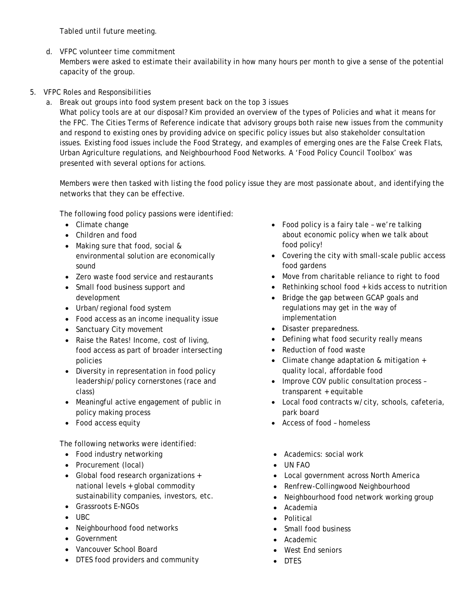Tabled until future meeting.

d. VFPC volunteer time commitment

Members were asked to estimate their availability in how many hours per month to give a sense of the potential capacity of the group.

# 5. VFPC Roles and Responsibilities

a. Break out groups into food system present back on the top 3 issues

What policy tools are at our disposal? Kim provided an overview of the types of Policies and what it means for the FPC. The Cities Terms of Reference indicate that advisory groups both raise new issues from the community and respond to existing ones by providing advice on specific policy issues but also stakeholder consultation issues. Existing food issues include the Food Strategy, and examples of emerging ones are the False Creek Flats, Urban Agriculture regulations, and Neighbourhood Food Networks. A 'Food Policy Council Toolbox' was presented with several options for actions.

Members were then tasked with listing the food policy issue they are most passionate about, and identifying the networks that they can be effective.

The following food policy passions were identified:

- Climate change
- Children and food
- Making sure that food, social & environmental solution are economically sound
- Zero waste food service and restaurants
- Small food business support and development
- Urban/regional food system
- Food access as an income inequality issue
- Sanctuary City movement
- Raise the Rates! Income, cost of living, food access as part of broader intersecting policies
- Diversity in representation in food policy leadership/policy cornerstones (race and class)
- Meaningful active engagement of public in policy making process
- Food access equity

The following networks were identified:

- Food industry networking
- Procurement (local)
- Global food research organizations + national levels + global commodity sustainability companies, investors, etc.
- Grassroots E-NGOs
- UBC
- Neighbourhood food networks
- Government
- Vancouver School Board
- DTES food providers and community
- Food policy is a fairy tale we're talking about economic policy when we talk about food policy!
- Covering the city with small-scale public access food gardens
- Move from charitable reliance to right to food
- Rethinking school food + kids access to nutrition
- Bridge the gap between GCAP goals and regulations may get in the way of implementation
- Disaster preparedness.
- Defining what food security really means
- Reduction of food waste
- Climate change adaptation & mitigation + quality local, affordable food
- Improve COV public consultation process transparent + equitable
- Local food contracts w/city, schools, cafeteria, park board
- Access of food homeless
- Academics: social work
- UN FAO
- Local government across North America
- Renfrew-Collingwood Neighbourhood
- Neighbourhood food network working group
- Academia
- Political
- Small food business
- Academic
- West End seniors
- DTES